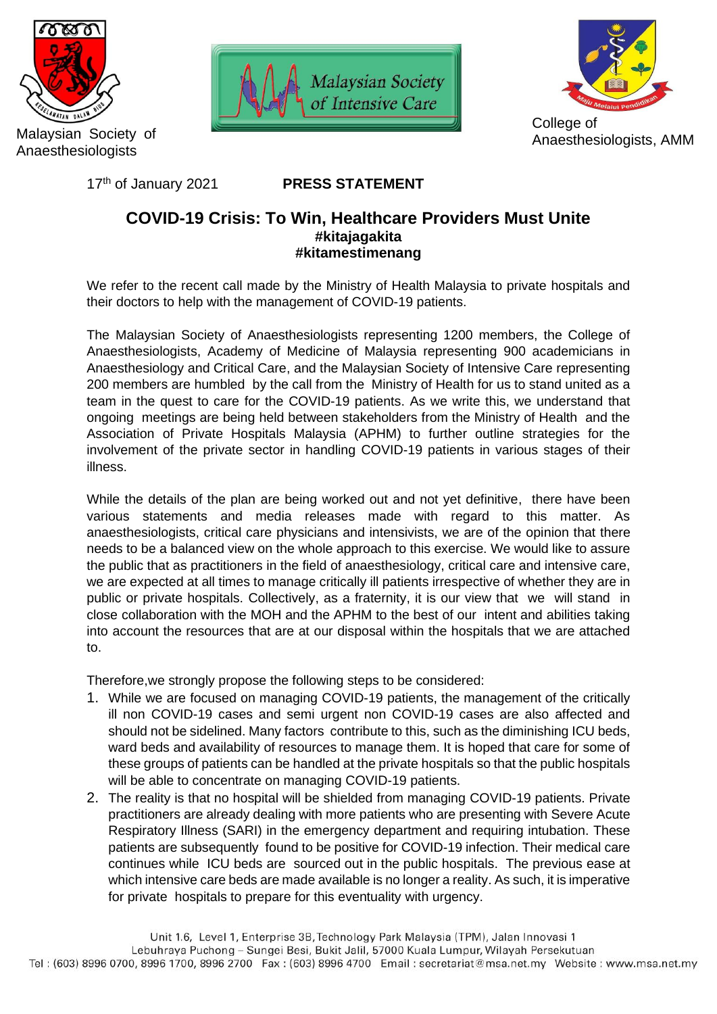

Malaysian Society of Anaesthesiologists

17th of January 2021





## **PRESS STATEMENT**

## **COVID-19 Crisis: To Win, Healthcare Providers Must Unite #kitajagakita #kitamestimenang**

We refer to the recent call made by the Ministry of Health Malaysia to private hospitals and their doctors to help with the management of COVID-19 patients.

The Malaysian Society of Anaesthesiologists representing 1200 members, the College of Anaesthesiologists, Academy of Medicine of Malaysia representing 900 academicians in Anaesthesiology and Critical Care, and the Malaysian Society of Intensive Care representing 200 members are humbled by the call from the Ministry of Health for us to stand united as a team in the quest to care for the COVID-19 patients. As we write this, we understand that ongoing meetings are being held between stakeholders from the Ministry of Health and the Association of Private Hospitals Malaysia (APHM) to further outline strategies for the involvement of the private sector in handling COVID-19 patients in various stages of their illness.

While the details of the plan are being worked out and not yet definitive, there have been various statements and media releases made with regard to this matter. As anaesthesiologists, critical care physicians and intensivists, we are of the opinion that there needs to be a balanced view on the whole approach to this exercise. We would like to assure the public that as practitioners in the field of anaesthesiology, critical care and intensive care, we are expected at all times to manage critically ill patients irrespective of whether they are in public or private hospitals. Collectively, as a fraternity, it is our view that we will stand in close collaboration with the MOH and the APHM to the best of our intent and abilities taking into account the resources that are at our disposal within the hospitals that we are attached to.

Therefore,we strongly propose the following steps to be considered:

- 1. While we are focused on managing COVID-19 patients, the management of the critically ill non COVID-19 cases and semi urgent non COVID-19 cases are also affected and should not be sidelined. Many factors contribute to this, such as the diminishing ICU beds, ward beds and availability of resources to manage them. It is hoped that care for some of these groups of patients can be handled at the private hospitals so that the public hospitals will be able to concentrate on managing COVID-19 patients.
- 2. The reality is that no hospital will be shielded from managing COVID-19 patients. Private practitioners are already dealing with more patients who are presenting with Severe Acute Respiratory Illness (SARI) in the emergency department and requiring intubation. These patients are subsequently found to be positive for COVID-19 infection. Their medical care continues while ICU beds are sourced out in the public hospitals. The previous ease at which intensive care beds are made available is no longer a reality. As such, it is imperative for private hospitals to prepare for this eventuality with urgency.